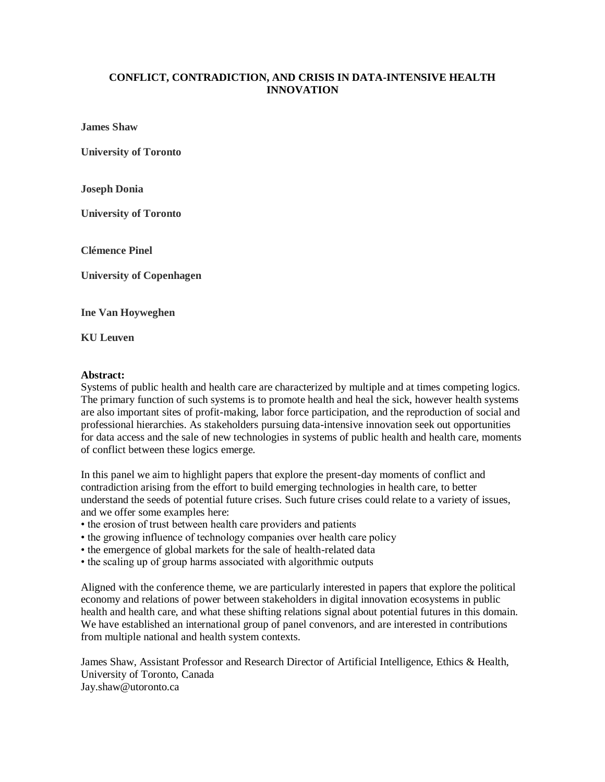## **CONFLICT, CONTRADICTION, AND CRISIS IN DATA-INTENSIVE HEALTH INNOVATION**

**James Shaw**

**University of Toronto**

**Joseph Donia**

**University of Toronto**

**Clémence Pinel**

**University of Copenhagen**

**Ine Van Hoyweghen**

**KU Leuven**

## **Abstract:**

Systems of public health and health care are characterized by multiple and at times competing logics. The primary function of such systems is to promote health and heal the sick, however health systems are also important sites of profit-making, labor force participation, and the reproduction of social and professional hierarchies. As stakeholders pursuing data-intensive innovation seek out opportunities for data access and the sale of new technologies in systems of public health and health care, moments of conflict between these logics emerge.

In this panel we aim to highlight papers that explore the present-day moments of conflict and contradiction arising from the effort to build emerging technologies in health care, to better understand the seeds of potential future crises. Such future crises could relate to a variety of issues, and we offer some examples here:

- the erosion of trust between health care providers and patients
- the growing influence of technology companies over health care policy
- the emergence of global markets for the sale of health-related data
- the scaling up of group harms associated with algorithmic outputs

Aligned with the conference theme, we are particularly interested in papers that explore the political economy and relations of power between stakeholders in digital innovation ecosystems in public health and health care, and what these shifting relations signal about potential futures in this domain. We have established an international group of panel convenors, and are interested in contributions from multiple national and health system contexts.

James Shaw, Assistant Professor and Research Director of Artificial Intelligence, Ethics & Health, University of Toronto, Canada Jay.shaw@utoronto.ca